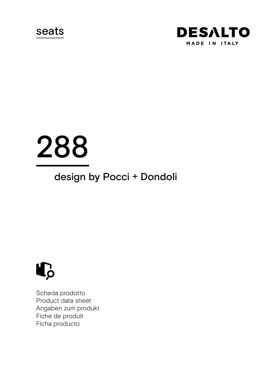seats



# 288

# design by Pocci + Dondoli



Scheda prodotto Product data sheet Angaben zum produkt Fiche de produit Ficha producto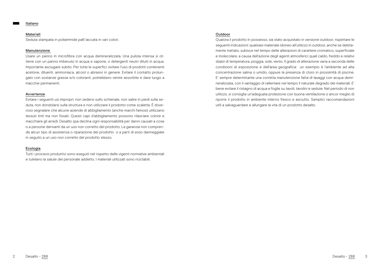#### Italiano

#### Materiali

Seduta stampata in poliammide pa6 laccata in vari colori.

#### Manutenzione

Usare un panno in microfibra con acqua demineralizzata. Una pulizia intensa si ottiene con un panno imbevuto in acqua e sapone, o detergenti neutri diluiti in acqua. Importante asciugare subito. Per tutte le superfici: evitare l'uso di prodotti contenenti acetone, diluenti, ammoniaca, alcool o abrasivi in genere. Evitare il contatto prolungato con sostanze grasse e/o coloranti, potrebbero venire assorbite e dare luogo a macchie permanenti.

#### Avvertenze

Evitare i seguenti usi impropri: non sedersi sullo schienale, non salire in piedi sulla seduta, non dondolarsi sulla struttura e non utilizzare il prodotto come scaletta. È doveroso segnalare che alcune aziende di abbigliamento (anche marchi famosi) utilizzano tessuti tinti ma non fissati. Questi capi d'abbigliamento possono rilasciare colore e macchiare gli arredi. Desalto spa declina ogni responsabilità per danni causati a cose o a persone derivanti da un uso non corretto del prodotto. La garanzia non comprende alcun tipo di assistenza o riparazione del prodotto o a parti di esso danneggiate in seguito a un uso non corretto del prodotto stesso.

# Ecologia

Tutti i processi produttivi sono eseguiti nel rispetto delle vigenti normative ambientali e tutelano la salute del personale addetto. I materiali utilizzati sono riciclabili.

#### Outdoor

Qualora il prodotto in possesso, sia stato acquistato in versione outdoor, rispettare le seguenti indicazioni: qualsiasi materiale idoneo all'utilizzo in outdoor, anche se debitamente trattato, subisce nel tempo delle alterazioni di carattere cromatico, superficiale e molecolare, a causa dell'azione degli agenti atmosferici quali caldo, freddo e relativi sbalzi di temperatura, pioggia, sole, vento. Il grado di alterazione varia a seconda delle condizioni di esposizione e dell'area geografica: un esempio è l'ambiente ad alta concentrazione salina o umido, oppure la presenza di cloro in prossimità di piscine. E' sempre determinante una corretta manutenzione fatta di lavaggi con acqua demineralizzata, con il vantaggio di rallentare nel tempo il naturale degrado dei materiali. E' bene evitare il ristagno di acqua e foglie su tavoli, tavolini e sedute. Nel periodo di non utilizzo, si consiglia un'adeguata protezione con buona ventilazione o ancor meglio di riporre il prodotto in ambiente interno fresco e asciutto. Semplici raccomandazioni utili a salvaguardare e allungare la vita di un prodotto desalto.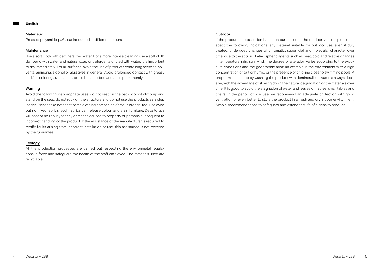#### English

# Matériaux

Pressed polyamide pa6 seat lacquered in different colours.

# Maintenance

Use a soft cloth with demineralized water. For a more intense cleaning use a soft cloth dampend with water and natural soap or detergents diluted with water. It is important to dry immediately. For all surfaces: avoid the use of products containing acetone, solvents, ammonia, alcohol or abrasives in general. Avoid prolonged contact with greasy and/ or coloring substances, could be absorbed and stain permanently.

# Warning

Avoid the following inappropriate uses: do not seat on the back, do not climb up and stand on the seat, do not rock on the structure and do not use the products as a step ladder. Please take note that some clothing companies (famous brands, too) use dyed but not fixed fabrics, such fabrics can release colour and stain furniture. Desalto spa will accept no liability for any damages caused to property or persons subsequent to incorrect handling of the product. If the assistance of the manufacturer is required to rectify faults arising from incorrect installation or use, this assistance is not covered by the guarantee.

#### Ecology

All the production processes are carried out respecting the environmetal regulations in force and safeguard the health of the staff employed. The materials used are recyclable.

# **Outdoor**

If the product in possession has been purchased in the outdoor version, please respect the following indications: any material suitable for outdoor use, even if duly treated, undergoes changes of chromatic, superficial and molecular character over time, due to the action of atmospheric agents such as heat, cold and relative changes in temperature, rain, sun, wind. The degree of alteration varies according to the exposure conditions and the geographic area: an example is the environment with a high concentration of salt or humid, or the presence of chlorine close to swimming pools. A proper maintenance by washing the product with demineralized water is always decisive, with the advantage of slowing down the natural degradation of the materials over time. It is good to avoid the stagnation of water and leaves on tables, small tables and chairs. In the period of non-use, we recommend an adequate protection with good ventilation or even better to store the product in a fresh and dry indoor environment. Simple recommendations to safeguard and extend the life of a desalto product.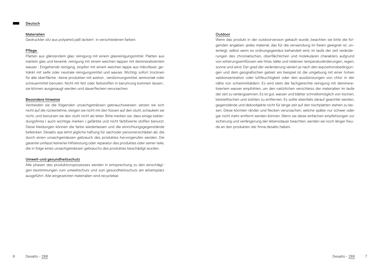#### Materialien

Gedruckter sitz aus polyamid pa6 lackiert in verschiedenen farben.

# Pflege

Platten aus glänzendem glas: reinigung mit einem glasreinigungsmittel. Platten aus mattem glas und keramik: reinigung mit einem weichen lappen mit demineralisiertem wasser . Eingehende reiniging, stopfen mit einem weichen lappe aus mikrofaser, getränkt mit seife oder neutrale reinigungsmittel und wasser. Wichtig: sofort trocknen für alle oberfläche : keine produkten mit azeton , verdünnungsmittel, ammoniak oder scheuermittel benuten. Nicht mit fett oder farbstoffen in beruhrung kommen lassen , sie können ausgesaugt werden und dauerflecken verursachen.

#### Besondere hinweise

Vermeiden sie die folgenden unsachgemässen gebrauchsweisen: setzen sie sich nicht auf die rückenlehne, steigen sie nicht mit den füssen auf den stuhl, schaukeln sie nicht, und benutzen sie den stuhl nicht als leiter. Bitte merken sie, dass einige bekleidungsfirma ( auch wichtige marken ) gefärbte und nicht farbfixierte stoffen benutzt. Diese kleidungen können die farbe wiederlassen und die einrichtungsgegenstände befelcken. Desalto spa lehnt jegliche haftung für sachoder personenschäden ab, die durch einen unsachgemässen gebrauch des produktes hervorgerufen werden. Die garantie umfasst keinerlei hilfsleistung oder reparatur des produktes oder seiner teile, die in folge eines unsachgemässen gebrauchs des produktes beschädigt wurden.

#### Umwelt-und gesundheitsschutz

Alle phasen des produktionsprozesses werden in entsprechung zu den einschlägigen bestimmungen zum umweltschutz und zum gesundheitsschutz am arbeitsplatz ausgeführt. Alle eingesetzten materialien sind recyclebar.

# Outdoor

Wenn das produkt in der outdoorversion gekauft wurde, beachten sie bitte die folgenden angaben: jedes material, das für die verwendung im freien geeignet ist, unterliegt, selbst wenn es ordnungsgemäss behandelt wird, im laufe der zeit veränderungen des chromatischen, oberflächlichen und molekularen charakters aufgrund von witterungseinflüssen wie hitze, kälte und relativen temperaturänderungen, regen, sonne und wind. Der grad der veränderung variiert je nach den expositionsbedingungen und dem geografischen gebiet: ein beispiel ist die umgebung mit einer hohen salzkonzentration oder luftfeuchtigkeit oder den ausdünstungen von chlor in der nähe von schwimmbädern. Es wird stets die fachgerechte reinigung mit demineralisiertem wasser empfohlen, um den natürlichen verschleiss der materialien im laufe der zeit zu verlangsamnen. Es ist gut, wasser und blätter schnellstmöglich von tischen, beistelltischen und stühlen zu entfernen. Es sollte ebenfalls darauf geachtet werden, gegenstände und dekoobjekte nicht für lange zeit auf den tischplatten stehen zu lassen. Diese könnten ränder und flecken verursachen, welche später nur schwer oder gar nicht mehr entfernt werden können. Wenn sie diese einfachen empfehlungen zur sicherung und verlängerung der lebensdauer beachten, werden sie noch länger freude an den produkten der firma desalto haben.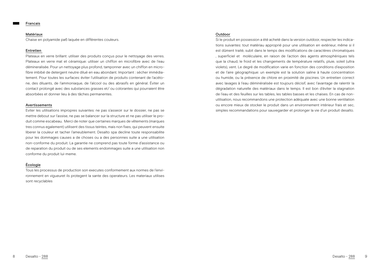#### Francais

#### Matériaux

Chaise en polyamide pa6 laquée en différentes couleurs.

# Entretien

Plateaux en verre brillant: utiliser des produits conçus pour le nettoyage des verres. Plateaux en verre mat et céramique: utiliser un chiffon en microfibre avec de l'eau démineralisée. Pour un nettoyage plus profond, tamponner avec un chiffon en microfibre imbibé de detergent neutre dilué en eau abondant. Important : sécher immédiatement. Pour toutes les surfaces: éviter l'utilisation de produits contenant de l'acétone, des diluants, de l'ammoniaque, de l'alcool ou des abrasifs en général. Éviter un contact prolongé avec des substances grasses et/ ou colorantes qui pourraient être absorbées et donner lieu à des tâches permanentes.

#### Avertissements

Eviter les utilisations impropres suivantes: ne pas s'asseoir sur le dossier, ne pas se mettre debout sur l'assise, ne pas se balancer sur la structure et ne pas utiliser le produit comme escabeau. Merci de noter que certaines marques de vêtements (marques tres connus egalement) utilisent des tissus teintes, mais non fixes, qui peuvent ensuite liberer la couleur et tacher l'ameublement. Desalto spa decline toute responsabilite pour les dommages causes a de choses ou a des personnes suite a une utilisation non-conforme du produit. La garantie ne comprend pas toute forme d'assistance ou de reparation du produit ou de ses elements endommages suite a une utilisation non conforme du produit lui-meme.

# Écologie

Tous les processus de production son executes conformement aux normes de l'environnement en vigueuret ils protegent la sante des operateurs. Les materiaux utilises sont recyclables

#### Outdoor

Si le produit en possession a été acheté dans la version outdoor, respecter les indications suivantes: tout matériau approprié pour une utilisation en extérieur, même si il est dûment traité, subit dans le temps des modifications de caractères chromatiques , superficiel et moléculaire, en raison de l'action des agents atmosphériques tels que la chaud, le froid et les changements de température relatifs, pluie, soleil (ultra violets), vent. Le degré de modification varie en fonction des conditions d'exposition et de l'aire géographique: un exemple est la solution saline à haute concentration ou humide, ou la présence de chlore en proximité de piscines. Un entretien correct avec lavages à l'eau déminéralisée est toujours décisif, avec l'avantage de ralentir la dégradation naturelle des matériaux dans le temps. Il est bon d'éviter la stagnation de l'eau et des feuilles sur les tables, les tables basses et les chaises. En cas de nonutilisation, nous recommandons une protection adéquate avec une bonne ventilation ou encore mieux de stocker le produit dans un environnement intérieur frais et sec, simples recommandations pour sauvegarder et prolonger la vie d'un produit desalto.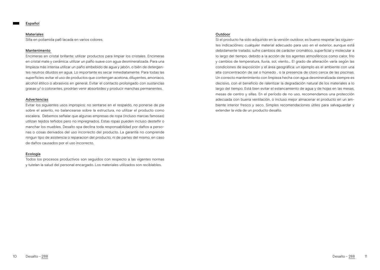#### Materiales

Silla en poliamida pa6 lacada en varios colores.

# Mantenimento

Encimeras en cristal brillante: utilizar productos para limpiar los cristales. Encimeras en cristal mate y cerámica: utilizar un paño suave con agua desmineralizada. Para una limpieza más intensa utilizar un paño embebido de agua y jabón, o bién de detergentes neutros diluidos en agua. Lo importante es secar inmediatamente. Para todas las superficies: evitar el uso de productos que contengan acetona, diluyentes, amoniaco, alcohol étilico o abrasivos en general. Evitar el contacto prolongado con sustancias grasas y/ o colorantes, prodrían venir absorbides y producir manchas permanentes.

# Advertencias

Evitar los siguientes usos impropios: no sentarse en el respaldo, no ponerse de pie sobre el asiento, no balancearse sobre la estructura, no utilizar el producto como escalera. Debemos señalar que algunas empresas de ropa (incluso marcas famosas) utilizan tejidos teñidos pero no impregnados. Estas ropas pueden incluso desteñir o manchar los muebles. Desalto spa declina toda responsabilidad por daños a personas o cosas derivados del uso incorrecto del producto. La garantía no comprende ningun tipo de asistencia o reparacion del producto, ni de partes del mismo, en caso de daños causados por el uso incorrecto.

# Ecología

Todos los procesos productivos son seguidos con respecto a las vigentes normas y tutelan la salud del personal encargado. Los materiales utilizados son reciblables.

# Outdoor

Si el producto ha sido adquirido en la versión outdoor, es bueno respetar las siguientes indicaciónes: cualquier material adecuado para uso en el exterior, aunque está debidamente tratado, sufre cambios de carácter cromático, superficial y molecular a lo largo del tiempo, debido a la acción de los agentes atmosféricos como calor, frío y cambios de temperatura, lluvia, sol, viento... El grado de alteración varía según las condiciones de exposición y el área geográfica: un ejemplo es el ambiente con una alta concentración de sal o húmedo , o la presencia de cloro cerca de las piscinas. Un correcto mantenimiento con limpieza hecha con agua desmineralizada siempre es decisivo, con el beneficio de ralentizar la degradación natural de los materiales a lo largo del tiempo. Está bien evitar el estancamiento de agua y de hojas en las mesas, mesas de centro y sillas. En el período de no uso, recomendamos una protección adecuada con buena ventilación, o incluso mejor almacenar el producto en un ambiente interior fresco y seco. Simples recomendaciones útiles para salvaguardar y extender la vida de un producto desalto.